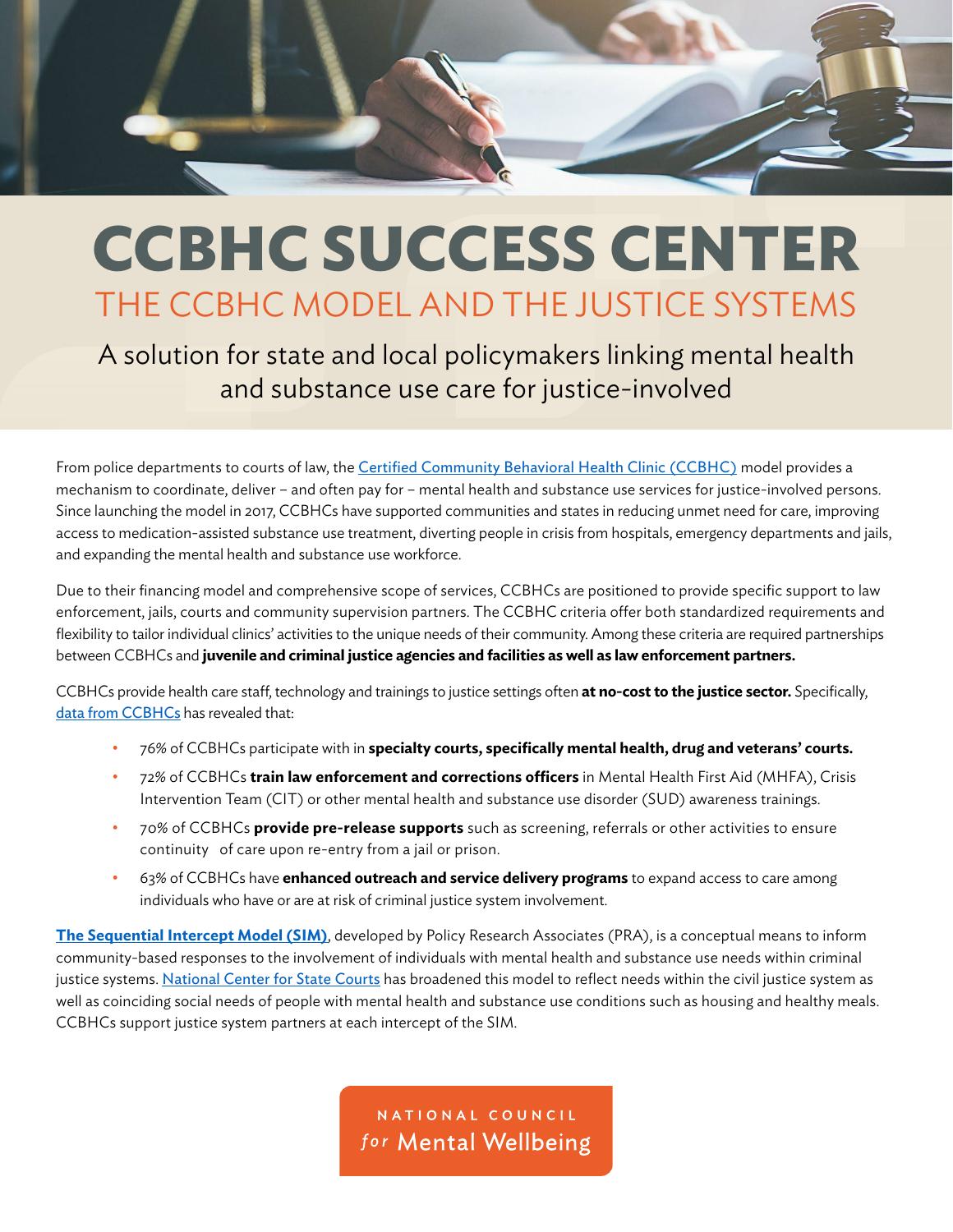

## **CCBHC SUCCESS CENTER** THE CCBHC MODEL AND THE JUSTICE SYSTEMS

A solution for state and local policymakers linking mental health and substance use care for justice-involved

From police departments to courts of law, the [Certified Community Behavioral Health Clinic \(CCBHC\)](https://www.thenationalcouncil.org/ccbhc-success-center/ccbhcta-overview/) model provides a mechanism to coordinate, deliver – and often pay for – mental health and substance use services for justice-involved persons. Since launching the model in 2017, CCBHCs have supported communities and states in reducing unmet need for care, improving access to medication-assisted substance use treatment, diverting people in crisis from hospitals, emergency departments and jails, and expanding the mental health and substance use workforce.

Due to their financing model and comprehensive scope of services, CCBHCs are positioned to provide specific support to law enforcement, jails, courts and community supervision partners. The CCBHC criteria offer both standardized requirements and flexibility to tailor individual clinics' activities to the unique needs of their community. Among these criteria are required partnerships between CCBHCs and **juvenile and criminal justice agencies and facilities as well as law enforcement partners.**

CCBHCs provide health care staff, technology and trainings to justice settings often **at no-cost to the justice sector.** Specifically, [data from CCBHCs](https://www.thenationalcouncil.org/wp-content/uploads/2021/08/2021-CCBHC-Impact-Report.pdf?daf=375ateTbd56) has revealed that:

- 76% of CCBHCs participate with in **specialty courts, specifically mental health, drug and veterans' courts.**
- 72% of CCBHCs **train law enforcement and corrections officers** in Mental Health First Aid (MHFA), Crisis Intervention Team (CIT) or other mental health and substance use disorder (SUD) awareness trainings.
- 70% of CCBHCs **provide pre-release supports** such as screening, referrals or other activities to ensure continuity of care upon re-entry from a jail or prison.
- 63% of CCBHCs have **enhanced outreach and service delivery programs** to expand access to care among individuals who have or are at risk of criminal justice system involvement.

**[The Sequential Intercept Model \(SIM\)](https://www.prainc.com/wp-content/uploads/2018/06/SIM-Brochure-2018-Web.pdf)**, developed by Policy Research Associates (PRA), is a conceptual means to inform community-based responses to the involvement of individuals with mental health and substance use needs within criminal justice systems. [National Center for State Courts](https://apps.ncsc.org/MHBB/#top.) has broadened this model to reflect needs within the civil justice system as well as coinciding social needs of people with mental health and substance use conditions such as housing and healthy meals. CCBHCs support justice system partners at each intercept of the SIM.

> NATIONAL COUNCIL for Mental Wellbeing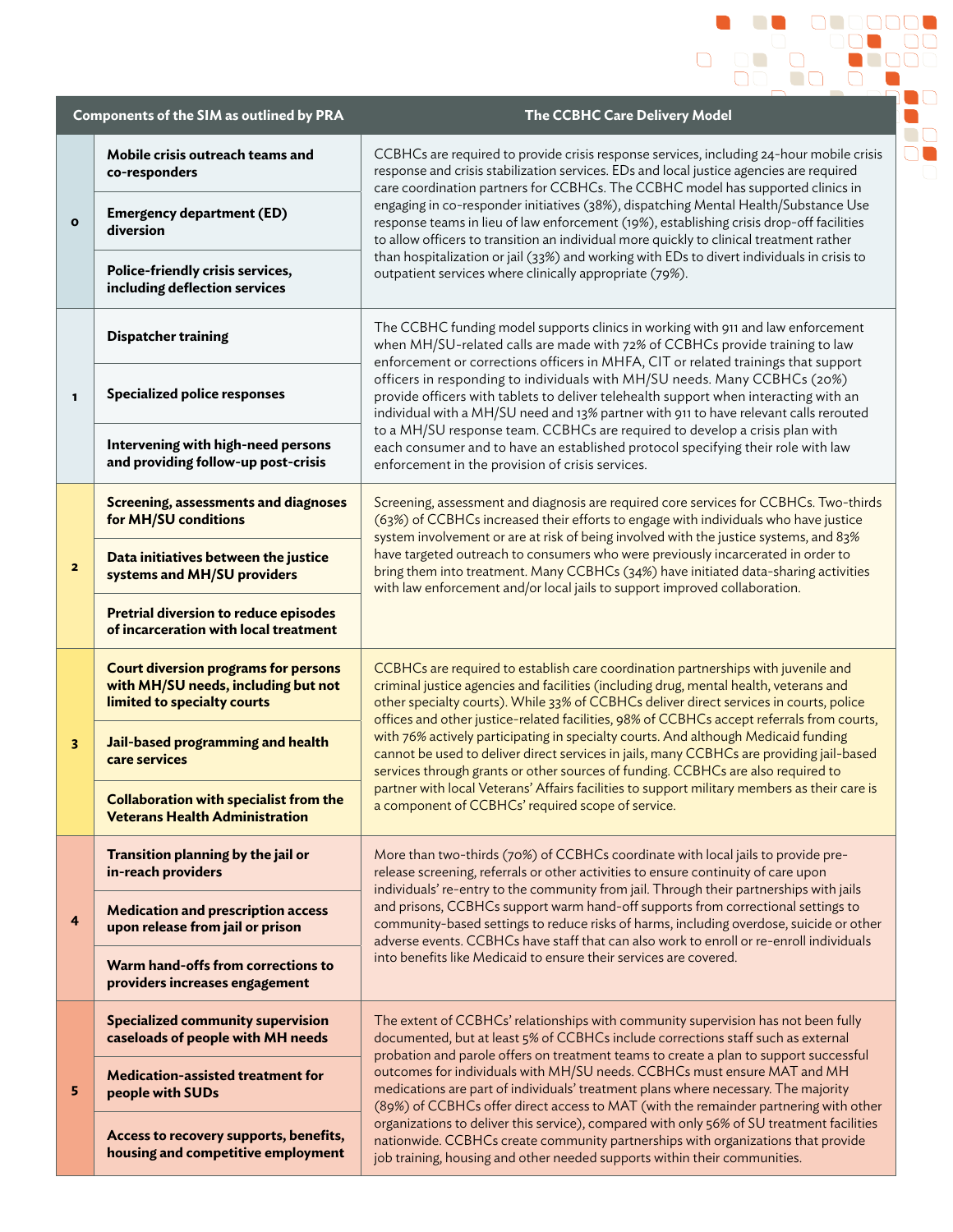|                         | <b>Components of the SIM as outlined by PRA</b>                                                                   | The CCBHC Care Delivery Model                                                                                                                                                                                                                                                                                                                                                                                                                                                                                                                                                                                                                                                                                                                                                                |
|-------------------------|-------------------------------------------------------------------------------------------------------------------|----------------------------------------------------------------------------------------------------------------------------------------------------------------------------------------------------------------------------------------------------------------------------------------------------------------------------------------------------------------------------------------------------------------------------------------------------------------------------------------------------------------------------------------------------------------------------------------------------------------------------------------------------------------------------------------------------------------------------------------------------------------------------------------------|
| $\mathbf{o}$            | Mobile crisis outreach teams and<br>co-responders                                                                 | CCBHCs are required to provide crisis response services, including 24-hour mobile crisis<br>response and crisis stabilization services. EDs and local justice agencies are required<br>care coordination partners for CCBHCs. The CCBHC model has supported clinics in<br>engaging in co-responder initiatives (38%), dispatching Mental Health/Substance Use<br>response teams in lieu of law enforcement (19%), establishing crisis drop-off facilities<br>to allow officers to transition an individual more quickly to clinical treatment rather<br>than hospitalization or jail (33%) and working with EDs to divert individuals in crisis to<br>outpatient services where clinically appropriate (79%).                                                                                |
|                         | <b>Emergency department (ED)</b><br>diversion                                                                     |                                                                                                                                                                                                                                                                                                                                                                                                                                                                                                                                                                                                                                                                                                                                                                                              |
|                         | Police-friendly crisis services,<br>including deflection services                                                 |                                                                                                                                                                                                                                                                                                                                                                                                                                                                                                                                                                                                                                                                                                                                                                                              |
| 1                       | <b>Dispatcher training</b>                                                                                        | The CCBHC funding model supports clinics in working with 911 and law enforcement<br>when MH/SU-related calls are made with 72% of CCBHCs provide training to law<br>enforcement or corrections officers in MHFA, CIT or related trainings that support<br>officers in responding to individuals with MH/SU needs. Many CCBHCs (20%)<br>provide officers with tablets to deliver telehealth support when interacting with an<br>individual with a MH/SU need and 13% partner with 911 to have relevant calls rerouted<br>to a MH/SU response team. CCBHCs are required to develop a crisis plan with<br>each consumer and to have an established protocol specifying their role with law<br>enforcement in the provision of crisis services.                                                  |
|                         | <b>Specialized police responses</b>                                                                               |                                                                                                                                                                                                                                                                                                                                                                                                                                                                                                                                                                                                                                                                                                                                                                                              |
|                         | Intervening with high-need persons<br>and providing follow-up post-crisis                                         |                                                                                                                                                                                                                                                                                                                                                                                                                                                                                                                                                                                                                                                                                                                                                                                              |
| $\overline{\mathbf{z}}$ | <b>Screening, assessments and diagnoses</b><br>for MH/SU conditions                                               | Screening, assessment and diagnosis are required core services for CCBHCs. Two-thirds<br>(63%) of CCBHCs increased their efforts to engage with individuals who have justice<br>system involvement or are at risk of being involved with the justice systems, and 83%<br>have targeted outreach to consumers who were previously incarcerated in order to<br>bring them into treatment. Many CCBHCs (34%) have initiated data-sharing activities<br>with law enforcement and/or local jails to support improved collaboration.                                                                                                                                                                                                                                                               |
|                         | Data initiatives between the justice<br>systems and MH/SU providers                                               |                                                                                                                                                                                                                                                                                                                                                                                                                                                                                                                                                                                                                                                                                                                                                                                              |
|                         | <b>Pretrial diversion to reduce episodes</b><br>of incarceration with local treatment                             |                                                                                                                                                                                                                                                                                                                                                                                                                                                                                                                                                                                                                                                                                                                                                                                              |
| 3                       | <b>Court diversion programs for persons</b><br>with MH/SU needs, including but not<br>limited to specialty courts | CCBHCs are required to establish care coordination partnerships with juvenile and<br>criminal justice agencies and facilities (including drug, mental health, veterans and<br>other specialty courts). While 33% of CCBHCs deliver direct services in courts, police<br>offices and other justice-related facilities, 98% of CCBHCs accept referrals from courts,<br>with 76% actively participating in specialty courts. And although Medicaid funding<br>cannot be used to deliver direct services in jails, many CCBHCs are providing jail-based<br>services through grants or other sources of funding. CCBHCs are also required to<br>partner with local Veterans' Affairs facilities to support military members as their care is<br>a component of CCBHCs' required scope of service. |
|                         | Jail-based programming and health<br>care services                                                                |                                                                                                                                                                                                                                                                                                                                                                                                                                                                                                                                                                                                                                                                                                                                                                                              |
|                         | <b>Collaboration with specialist from the</b><br><b>Veterans Health Administration</b>                            |                                                                                                                                                                                                                                                                                                                                                                                                                                                                                                                                                                                                                                                                                                                                                                                              |
| 4                       | Transition planning by the jail or<br>in-reach providers                                                          | More than two-thirds (70%) of CCBHCs coordinate with local jails to provide pre-<br>release screening, referrals or other activities to ensure continuity of care upon<br>individuals' re-entry to the community from jail. Through their partnerships with jails<br>and prisons, CCBHCs support warm hand-off supports from correctional settings to<br>community-based settings to reduce risks of harms, including overdose, suicide or other<br>adverse events. CCBHCs have staff that can also work to enroll or re-enroll individuals<br>into benefits like Medicaid to ensure their services are covered.                                                                                                                                                                             |
|                         | <b>Medication and prescription access</b><br>upon release from jail or prison                                     |                                                                                                                                                                                                                                                                                                                                                                                                                                                                                                                                                                                                                                                                                                                                                                                              |
|                         | Warm hand-offs from corrections to<br>providers increases engagement                                              |                                                                                                                                                                                                                                                                                                                                                                                                                                                                                                                                                                                                                                                                                                                                                                                              |
| 5                       | <b>Specialized community supervision</b><br>caseloads of people with MH needs                                     | The extent of CCBHCs' relationships with community supervision has not been fully<br>documented, but at least 5% of CCBHCs include corrections staff such as external<br>probation and parole offers on treatment teams to create a plan to support successful<br>outcomes for individuals with MH/SU needs. CCBHCs must ensure MAT and MH<br>medications are part of individuals' treatment plans where necessary. The majority<br>(89%) of CCBHCs offer direct access to MAT (with the remainder partnering with other<br>organizations to deliver this service), compared with only 56% of SU treatment facilities<br>nationwide. CCBHCs create community partnerships with organizations that provide<br>job training, housing and other needed supports within their communities.       |
|                         | <b>Medication-assisted treatment for</b><br>people with SUDs                                                      |                                                                                                                                                                                                                                                                                                                                                                                                                                                                                                                                                                                                                                                                                                                                                                                              |
|                         | Access to recovery supports, benefits,<br>housing and competitive employment                                      |                                                                                                                                                                                                                                                                                                                                                                                                                                                                                                                                                                                                                                                                                                                                                                                              |